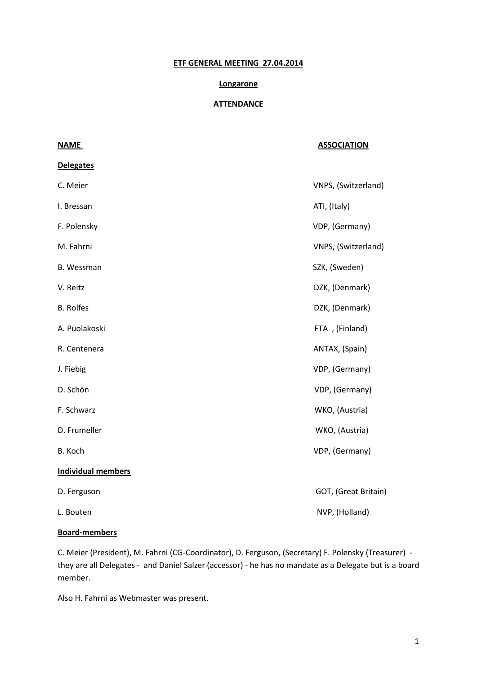# **ETF GENERAL MEETING 27.04.2014**

#### **Longarone**

## **ATTENDANCE**

| <b>NAME</b>               | <b>ASSOCIATION</b>   |
|---------------------------|----------------------|
| <b>Delegates</b>          |                      |
| C. Meier                  | VNPS, (Switzerland)  |
| I. Bressan                | ATI, (Italy)         |
| F. Polensky               | VDP, (Germany)       |
| M. Fahrni                 | VNPS, (Switzerland)  |
| B. Wessman                | SZK, (Sweden)        |
| V. Reitz                  | DZK, (Denmark)       |
| <b>B.</b> Rolfes          | DZK, (Denmark)       |
| A. Puolakoski             | FTA, (Finland)       |
| R. Centenera              | ANTAX, (Spain)       |
| J. Fiebig                 | VDP, (Germany)       |
| D. Schön                  | VDP, (Germany)       |
| F. Schwarz                | WKO, (Austria)       |
| D. Frumeller              | WKO, (Austria)       |
| B. Koch                   | VDP, (Germany)       |
| <b>Individual members</b> |                      |
| D. Ferguson               | GOT, (Great Britain) |
| L. Bouten                 | NVP, (Holland)       |

# **Board-members**

C. Meier (President), M. Fahrni (CG-Coordinator), D. Ferguson, (Secretary) F. Polensky (Treasurer) they are all Delegates - and Daniel Salzer (accessor) - he has no mandate as a Delegate but is a board member.

Also H. Fahrni as Webmaster was present.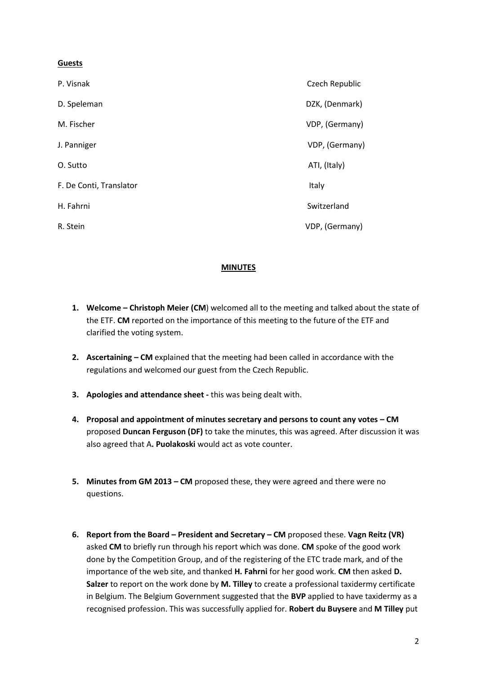# **Guests**

| P. Visnak               | Czech Republic |
|-------------------------|----------------|
| D. Speleman             | DZK, (Denmark) |
| M. Fischer              | VDP, (Germany) |
| J. Panniger             | VDP, (Germany) |
| O. Sutto                | ATI, (Italy)   |
| F. De Conti, Translator | Italy          |
| H. Fahrni               | Switzerland    |
| R. Stein                | VDP, (Germany) |

# **MINUTES**

- **1. Welcome – Christoph Meier (CM**) welcomed all to the meeting and talked about the state of the ETF. **CM** reported on the importance of this meeting to the future of the ETF and clarified the voting system.
- **2. Ascertaining – CM** explained that the meeting had been called in accordance with the regulations and welcomed our guest from the Czech Republic.
- **3. Apologies and attendance sheet -** this was being dealt with.
- **4. Proposal and appointment of minutes secretary and persons to count any votes – CM**  proposed **Duncan Ferguson (DF)** to take the minutes, this was agreed. After discussion it was also agreed that A**. Puolakoski** would act as vote counter.
- **5. Minutes from GM 2013 – CM** proposed these, they were agreed and there were no questions.
- **6. Report from the Board – President and Secretary – CM** proposed these. **Vagn Reitz (VR)** asked **CM** to briefly run through his report which was done. **CM** spoke of the good work done by the Competition Group, and of the registering of the ETC trade mark, and of the importance of the web site, and thanked **H. Fahrni** for her good work. **CM** then asked **D. Salzer** to report on the work done by **M. Tilley** to create a professional taxidermy certificate in Belgium. The Belgium Government suggested that the **BVP** applied to have taxidermy as a recognised profession. This was successfully applied for. **Robert du Buysere** and **M Tilley** put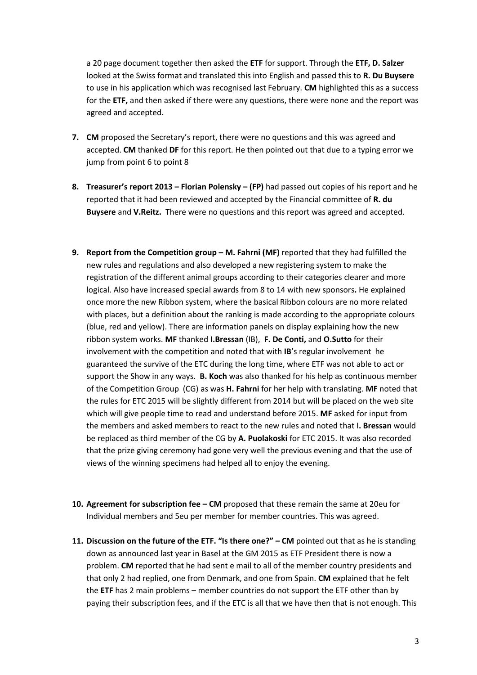a 20 page document together then asked the **ETF** for support. Through the **ETF, D. Salzer** looked at the Swiss format and translated this into English and passed this to **R. Du Buysere** to use in his application which was recognised last February. **CM** highlighted this as a success for the **ETF,** and then asked if there were any questions, there were none and the report was agreed and accepted.

- **7. CM** proposed the Secretary's report, there were no questions and this was agreed and accepted. **CM** thanked **DF** for this report. He then pointed out that due to a typing error we jump from point 6 to point 8
- **8. Treasurer's report 2013 – Florian Polensky – (FP)** had passed out copies of his report and he reported that it had been reviewed and accepted by the Financial committee of **R. du Buysere** and **V.Reitz.** There were no questions and this report was agreed and accepted.
- **9.** Report from the Competition group M. Fahrni (MF) reported that they had fulfilled the new rules and regulations and also developed a new registering system to make the registration of the different animal groups according to their categories clearer and more logical. Also have increased special awards from 8 to 14 with new sponsors**.** He explained once more the new Ribbon system, where the basical Ribbon colours are no more related with places, but a definition about the ranking is made according to the appropriate colours (blue, red and yellow). There are information panels on display explaining how the new ribbon system works. **MF** thanked **I.Bressan** (IB), **F. De Conti,** and **O.Sutto** for their involvement with the competition and noted that with **IB**'s regular involvement he guaranteed the survive of the ETC during the long time, where ETF was not able to act or support the Show in any ways. **B. Koch** was also thanked for his help as continuous member of the Competition Group (CG) as was **H. Fahrni** for her help with translating. **MF** noted that the rules for ETC 2015 will be slightly different from 2014 but will be placed on the web site which will give people time to read and understand before 2015. **MF** asked for input from the members and asked members to react to the new rules and noted that I**. Bressan** would be replaced as third member of the CG by **A. Puolakoski** for ETC 2015. It was also recorded that the prize giving ceremony had gone very well the previous evening and that the use of views of the winning specimens had helped all to enjoy the evening.
- **10. Agreement for subscription fee – CM** proposed that these remain the same at 20eu for Individual members and 5eu per member for member countries. This was agreed.
- **11. Discussion on the future of the ETF. "Is there one?" – CM** pointed out that as he is standing down as announced last year in Basel at the GM 2015 as ETF President there is now a problem. **CM** reported that he had sent e mail to all of the member country presidents and that only 2 had replied, one from Denmark, and one from Spain. **CM** explained that he felt the **ETF** has 2 main problems – member countries do not support the ETF other than by paying their subscription fees, and if the ETC is all that we have then that is not enough. This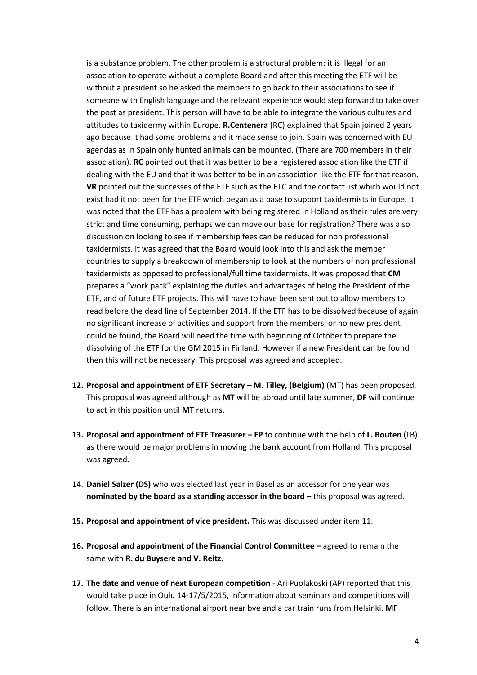is a substance problem. The other problem is a structural problem: it is illegal for an association to operate without a complete Board and after this meeting the ETF will be without a president so he asked the members to go back to their associations to see if someone with English language and the relevant experience would step forward to take over the post as president. This person will have to be able to integrate the various cultures and attitudes to taxidermy within Europe. **R.Centenera** (RC) explained that Spain joined 2 years ago because it had some problems and it made sense to join. Spain was concerned with EU agendas as in Spain only hunted animals can be mounted. (There are 700 members in their association). **RC** pointed out that it was better to be a registered association like the ETF if dealing with the EU and that it was better to be in an association like the ETF for that reason. **VR** pointed out the successes of the ETF such as the ETC and the contact list which would not exist had it not been for the ETF which began as a base to support taxidermists in Europe. It was noted that the ETF has a problem with being registered in Holland as their rules are very strict and time consuming, perhaps we can move our base for registration? There was also discussion on looking to see if membership fees can be reduced for non professional taxidermists. It was agreed that the Board would look into this and ask the member countries to supply a breakdown of membership to look at the numbers of non professional taxidermists as opposed to professional/full time taxidermists. It was proposed that **CM**  prepares a "work pack" explaining the duties and advantages of being the President of the ETF, and of future ETF projects. This will have to have been sent out to allow members to read before the dead line of September 2014. If the ETF has to be dissolved because of again no significant increase of activities and support from the members, or no new president could be found, the Board will need the time with beginning of October to prepare the dissolving of the ETF for the GM 2015 in Finland. However if a new President can be found then this will not be necessary. This proposal was agreed and accepted.

- **12. Proposal and appointment of ETF Secretary – M. Tilley, (Belgium)** (MT) has been proposed. This proposal was agreed although as **MT** will be abroad until late summer, **DF** will continue to act in this position until **MT** returns.
- **13. Proposal and appointment of ETF Treasurer – FP** to continue with the help of **L. Bouten** (LB) as there would be major problems in moving the bank account from Holland. This proposal was agreed.
- 14. **Daniel Salzer (DS)** who was elected last year in Basel as an accessor for one year was **nominated by the board as a standing accessor in the board** – this proposal was agreed.
- **15. Proposal and appointment of vice president.** This was discussed under item 11.
- **16. Proposal and appointment of the Financial Control Committee –** agreed to remain the same with **R. du Buysere and V. Reitz.**
- **17. The date and venue of next European competition Ari Puolakoski (AP) reported that this** would take place in Oulu 14-17/5/2015, information about seminars and competitions will follow. There is an international airport near bye and a car train runs from Helsinki. **MF**